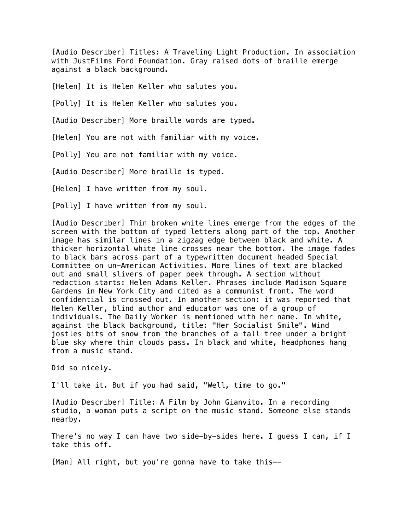[Audio Describer] Titles: A Traveling Light Production. In association with JustFilms Ford Foundation. Gray raised dots of braille emerge against a black background.

[Helen] It is Helen Keller who salutes you.

[Polly] It is Helen Keller who salutes you.

[Audio Describer] More braille words are typed.

[Helen] You are not with familiar with my voice.

[Polly] You are not familiar with my voice.

[Audio Describer] More braille is typed.

[Helen] I have written from my soul.

[Polly] I have written from my soul.

[Audio Describer] Thin broken white lines emerge from the edges of the screen with the bottom of typed letters along part of the top. Another image has similar lines in a zigzag edge between black and white. A thicker horizontal white line crosses near the bottom. The image fades to black bars across part of a typewritten document headed Special Committee on un-American Activities. More lines of text are blacked out and small slivers of paper peek through. A section without redaction starts: Helen Adams Keller. Phrases include Madison Square Gardens in New York City and cited as a communist front. The word confidential is crossed out. In another section: it was reported that Helen Keller, blind author and educator was one of a group of individuals. The Daily Worker is mentioned with her name. In white, against the black background, title: "Her Socialist Smile". Wind jostles bits of snow from the branches of a tall tree under a bright blue sky where thin clouds pass. In black and white, headphones hang from a music stand.

Did so nicely.

I'll take it. But if you had said, "Well, time to go."

[Audio Describer] Title: A Film by John Gianvito. In a recording studio, a woman puts a script on the music stand. Someone else stands nearby.

There's no way I can have two side-by-sides here. I guess I can, if I take this off.

[Man] All right, but you're gonna have to take this--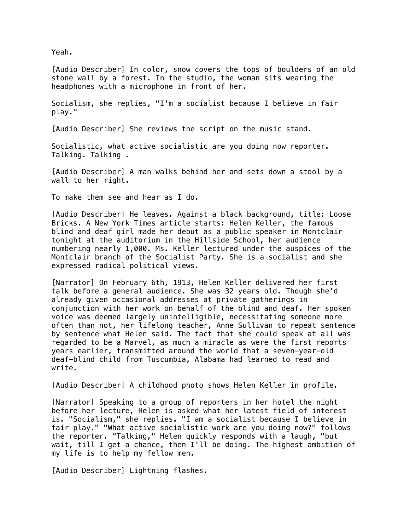Yeah.

[Audio Describer] In color, snow covers the tops of boulders of an old stone wall by a forest. In the studio, the woman sits wearing the headphones with a microphone in front of her.

Socialism, she replies, "I'm a socialist because I believe in fair play."

[Audio Describer] She reviews the script on the music stand.

Socialistic, what active socialistic are you doing now reporter. Talking. Talking .

[Audio Describer] A man walks behind her and sets down a stool by a wall to her right.

To make them see and hear as I do.

[Audio Describer] He leaves. Against a black background, title: Loose Bricks. A New York Times article starts: Helen Keller, the famous blind and deaf girl made her debut as a public speaker in Montclair tonight at the auditorium in the Hillside School, her audience numbering nearly 1,000. Ms. Keller lectured under the auspices of the Montclair branch of the Socialist Party. She is a socialist and she expressed radical political views.

[Narrator] On February 6th, 1913, Helen Keller delivered her first talk before a general audience. She was 32 years old. Though she'd already given occasional addresses at private gatherings in conjunction with her work on behalf of the blind and deaf. Her spoken voice was deemed largely unintelligible, necessitating someone more often than not, her lifelong teacher, Anne Sullivan to repeat sentence by sentence what Helen said. The fact that she could speak at all was regarded to be a Marvel, as much a miracle as were the first reports years earlier, transmitted around the world that a seven-year-old deaf-blind child from Tuscumbia, Alabama had learned to read and write.

[Audio Describer] A childhood photo shows Helen Keller in profile.

[Narrator] Speaking to a group of reporters in her hotel the night before her lecture, Helen is asked what her latest field of interest is. "Socialism," she replies. "I am a socialist because I believe in fair play." "What active socialistic work are you doing now?" follows the reporter. "Talking," Helen quickly responds with a laugh, "but wait, till I get a chance, then I'll be doing. The highest ambition of my life is to help my fellow men.

[Audio Describer] Lightning flashes.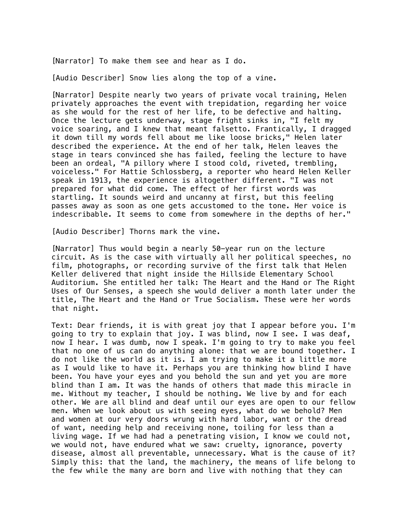[Narrator] To make them see and hear as I do.

[Audio Describer] Snow lies along the top of a vine.

[Narrator] Despite nearly two years of private vocal training, Helen privately approaches the event with trepidation, regarding her voice as she would for the rest of her life, to be defective and halting. Once the lecture gets underway, stage fright sinks in, "I felt my voice soaring, and I knew that meant falsetto. Frantically, I dragged it down till my words fell about me like loose bricks," Helen later described the experience. At the end of her talk, Helen leaves the stage in tears convinced she has failed, feeling the lecture to have been an ordeal, "A pillory where I stood cold, riveted, trembling, voiceless." For Hattie Schlossberg, a reporter who heard Helen Keller speak in 1913, the experience is altogether different. "I was not prepared for what did come. The effect of her first words was startling. It sounds weird and uncanny at first, but this feeling passes away as soon as one gets accustomed to the tone. Her voice is indescribable. It seems to come from somewhere in the depths of her."

[Audio Describer] Thorns mark the vine.

[Narrator] Thus would begin a nearly 50-year run on the lecture circuit. As is the case with virtually all her political speeches, no film, photographs, or recording survive of the first talk that Helen Keller delivered that night inside the Hillside Elementary School Auditorium. She entitled her talk: The Heart and the Hand or The Right Uses of Our Senses, a speech she would deliver a month later under the title, The Heart and the Hand or True Socialism. These were her words that night.

Text: Dear friends, it is with great joy that I appear before you. I'm going to try to explain that joy. I was blind, now I see. I was deaf, now I hear. I was dumb, now I speak. I'm going to try to make you feel that no one of us can do anything alone: that we are bound together. I do not like the world as it is. I am trying to make it a little more as I would like to have it. Perhaps you are thinking how blind I have been. You have your eyes and you behold the sun and yet you are more blind than I am. It was the hands of others that made this miracle in me. Without my teacher, I should be nothing. We live by and for each other. We are all blind and deaf until our eyes are open to our fellow men. When we look about us with seeing eyes, what do we behold? Men and women at our very doors wrung with hard labor, want or the dread of want, needing help and receiving none, toiling for less than a living wage. If we had had a penetrating vision, I know we could not, we would not, have endured what we saw: cruelty, ignorance, poverty disease, almost all preventable, unnecessary. What is the cause of it? Simply this: that the land, the machinery, the means of life belong to the few while the many are born and live with nothing that they can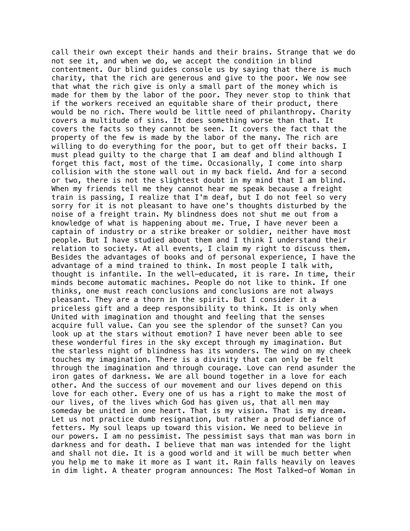call their own except their hands and their brains. Strange that we do not see it, and when we do, we accept the condition in blind contentment. Our blind guides console us by saying that there is much charity, that the rich are generous and give to the poor. We now see that what the rich give is only a small part of the money which is made for them by the labor of the poor. They never stop to think that if the workers received an equitable share of their product, there would be no rich. There would be little need of philanthropy. Charity covers a multitude of sins. It does something worse than that. It covers the facts so they cannot be seen. It covers the fact that the property of the few is made by the labor of the many. The rich are willing to do everything for the poor, but to get off their backs. I must plead guilty to the charge that I am deaf and blind although I forget this fact, most of the time. Occasionally, I come into sharp collision with the stone wall out in my back field. And for a second or two, there is not the slightest doubt in my mind that I am blind. When my friends tell me they cannot hear me speak because a freight train is passing, I realize that I'm deaf, but I do not feel so very sorry for it is not pleasant to have one's thoughts disturbed by the noise of a freight train. My blindness does not shut me out from a knowledge of what is happening about me. True, I have never been a captain of industry or a strike breaker or soldier, neither have most people. But I have studied about them and I think I understand their relation to society. At all events, I claim my right to discuss them. Besides the advantages of books and of personal experience, I have the advantage of a mind trained to think. In most people I talk with, thought is infantile. In the well-educated, it is rare. In time, their minds become automatic machines. People do not like to think. If one thinks, one must reach conclusions and conclusions are not always pleasant. They are a thorn in the spirit. But I consider it a priceless gift and a deep responsibility to think. It is only when United with imagination and thought and feeling that the senses acquire full value. Can you see the splendor of the sunset? Can you look up at the stars without emotion? I have never been able to see these wonderful fires in the sky except through my imagination. But the starless night of blindness has its wonders. The wind on my cheek touches my imagination. There is a divinity that can only be felt through the imagination and through courage. Love can rend asunder the iron gates of darkness. We are all bound together in a love for each other. And the success of our movement and our lives depend on this love for each other. Every one of us has a right to make the most of our lives, of the lives which God has given us, that all men may someday be united in one heart. That is my vision. That is my dream. Let us not practice dumb resignation, but rather a proud defiance of fetters. My soul leaps up toward this vision. We need to believe in our powers. I am no pessimist. The pessimist says that man was born in darkness and for death. I believe that man was intended for the light and shall not die. It is a good world and it will be much better when you help me to make it more as I want it. Rain falls heavily on leaves in dim light. A theater program announces: The Most Talked-of Woman in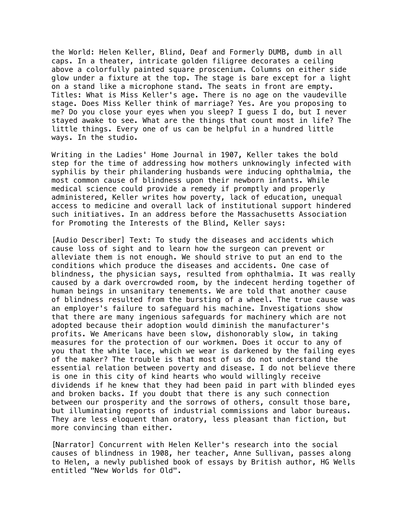the World: Helen Keller, Blind, Deaf and Formerly DUMB, dumb in all caps. In a theater, intricate golden filigree decorates a ceiling above a colorfully painted square proscenium. Columns on either side glow under a fixture at the top. The stage is bare except for a light on a stand like a microphone stand. The seats in front are empty. Titles: What is Miss Keller's age. There is no age on the vaudeville stage. Does Miss Keller think of marriage? Yes. Are you proposing to me? Do you close your eyes when you sleep? I guess I do, but I never stayed awake to see. What are the things that count most in life? The little things. Every one of us can be helpful in a hundred little ways. In the studio.

Writing in the Ladies' Home Journal in 1907, Keller takes the bold step for the time of addressing how mothers unknowingly infected with syphilis by their philandering husbands were inducing ophthalmia, the most common cause of blindness upon their newborn infants. While medical science could provide a remedy if promptly and properly administered, Keller writes how poverty, lack of education, unequal access to medicine and overall lack of institutional support hindered such initiatives. In an address before the Massachusetts Association for Promoting the Interests of the Blind, Keller says:

[Audio Describer] Text: To study the diseases and accidents which cause loss of sight and to learn how the surgeon can prevent or alleviate them is not enough. We should strive to put an end to the conditions which produce the diseases and accidents. One case of blindness, the physician says, resulted from ophthalmia. It was really caused by a dark overcrowded room, by the indecent herding together of human beings in unsanitary tenements. We are told that another cause of blindness resulted from the bursting of a wheel. The true cause was an employer's failure to safeguard his machine. Investigations show that there are many ingenious safeguards for machinery which are not adopted because their adoption would diminish the manufacturer's profits. We Americans have been slow, dishonorably slow, in taking measures for the protection of our workmen. Does it occur to any of you that the white lace, which we wear is darkened by the failing eyes of the maker? The trouble is that most of us do not understand the essential relation between poverty and disease. I do not believe there is one in this city of kind hearts who would willingly receive dividends if he knew that they had been paid in part with blinded eyes and broken backs. If you doubt that there is any such connection between our prosperity and the sorrows of others, consult those bare, but illuminating reports of industrial commissions and labor bureaus. They are less eloquent than oratory, less pleasant than fiction, but more convincing than either.

[Narrator] Concurrent with Helen Keller's research into the social causes of blindness in 1908, her teacher, Anne Sullivan, passes along to Helen, a newly published book of essays by British author, HG Wells entitled "New Worlds for Old".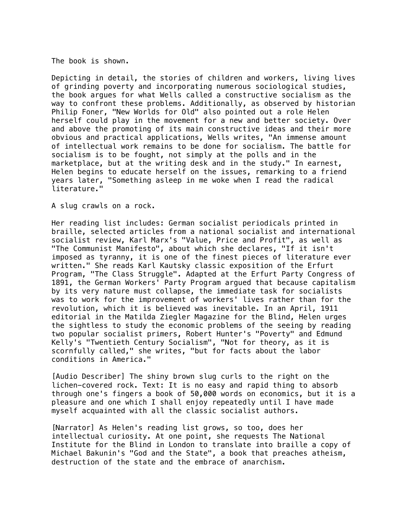The book is shown.

Depicting in detail, the stories of children and workers, living lives of grinding poverty and incorporating numerous sociological studies, the book argues for what Wells called a constructive socialism as the way to confront these problems. Additionally, as observed by historian Philip Foner, "New Worlds for Old" also pointed out a role Helen herself could play in the movement for a new and better society. Over and above the promoting of its main constructive ideas and their more obvious and practical applications, Wells writes, "An immense amount of intellectual work remains to be done for socialism. The battle for socialism is to be fought, not simply at the polls and in the marketplace, but at the writing desk and in the study." In earnest, Helen begins to educate herself on the issues, remarking to a friend years later, "Something asleep in me woke when I read the radical literature."

A slug crawls on a rock.

Her reading list includes: German socialist periodicals printed in braille, selected articles from a national socialist and international socialist review, Karl Marx's "Value, Price and Profit", as well as "The Communist Manifesto", about which she declares, "If it isn't imposed as tyranny, it is one of the finest pieces of literature ever written." She reads Karl Kautsky classic exposition of the Erfurt Program, "The Class Struggle". Adapted at the Erfurt Party Congress of 1891, the German Workers' Party Program argued that because capitalism by its very nature must collapse, the immediate task for socialists was to work for the improvement of workers' lives rather than for the revolution, which it is believed was inevitable. In an April, 1911 editorial in the Matilda Ziegler Magazine for the Blind, Helen urges the sightless to study the economic problems of the seeing by reading two popular socialist primers, Robert Hunter's "Poverty" and Edmund Kelly's "Twentieth Century Socialism", "Not for theory, as it is scornfully called," she writes, "but for facts about the labor conditions in America."

[Audio Describer] The shiny brown slug curls to the right on the lichen-covered rock. Text: It is no easy and rapid thing to absorb through one's fingers a book of 50,000 words on economics, but it is a pleasure and one which I shall enjoy repeatedly until I have made myself acquainted with all the classic socialist authors.

[Narrator] As Helen's reading list grows, so too, does her intellectual curiosity. At one point, she requests The National Institute for the Blind in London to translate into braille a copy of Michael Bakunin's "God and the State", a book that preaches atheism, destruction of the state and the embrace of anarchism.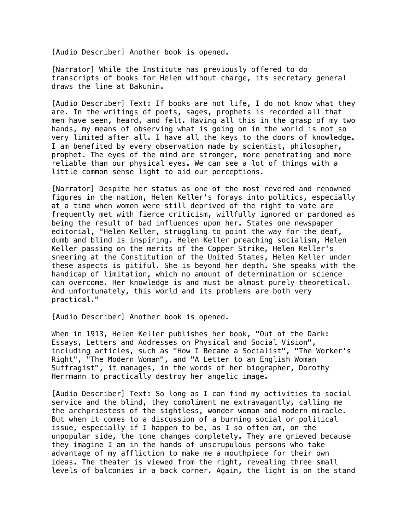[Audio Describer] Another book is opened.

[Narrator] While the Institute has previously offered to do transcripts of books for Helen without charge, its secretary general draws the line at Bakunin.

[Audio Describer] Text: If books are not life, I do not know what they are. In the writings of poets, sages, prophets is recorded all that men have seen, heard, and felt. Having all this in the grasp of my two hands, my means of observing what is going on in the world is not so very limited after all. I have all the keys to the doors of knowledge. I am benefited by every observation made by scientist, philosopher, prophet. The eyes of the mind are stronger, more penetrating and more reliable than our physical eyes. We can see a lot of things with a little common sense light to aid our perceptions.

[Narrator] Despite her status as one of the most revered and renowned figures in the nation, Helen Keller's forays into politics, especially at a time when women were still deprived of the right to vote are frequently met with fierce criticism, willfully ignored or pardoned as being the result of bad influences upon her. States one newspaper editorial, "Helen Keller, struggling to point the way for the deaf, dumb and blind is inspiring. Helen Keller preaching socialism, Helen Keller passing on the merits of the Copper Strike, Helen Keller's sneering at the Constitution of the United States, Helen Keller under these aspects is pitiful. She is beyond her depth. She speaks with the handicap of limitation, which no amount of determination or science can overcome. Her knowledge is and must be almost purely theoretical. And unfortunately, this world and its problems are both very practical."

[Audio Describer] Another book is opened.

When in 1913, Helen Keller publishes her book, "Out of the Dark: Essays, Letters and Addresses on Physical and Social Vision", including articles, such as "How I Became a Socialist", "The Worker's Right", "The Modern Woman", and "A Letter to an English Woman Suffragist", it manages, in the words of her biographer, Dorothy Herrmann to practically destroy her angelic image.

[Audio Describer] Text: So long as I can find my activities to social service and the blind, they compliment me extravagantly, calling me the archpriestess of the sightless, wonder woman and modern miracle. But when it comes to a discussion of a burning social or political issue, especially if I happen to be, as I so often am, on the unpopular side, the tone changes completely. They are grieved because they imagine I am in the hands of unscrupulous persons who take advantage of my affliction to make me a mouthpiece for their own ideas. The theater is viewed from the right, revealing three small levels of balconies in a back corner. Again, the light is on the stand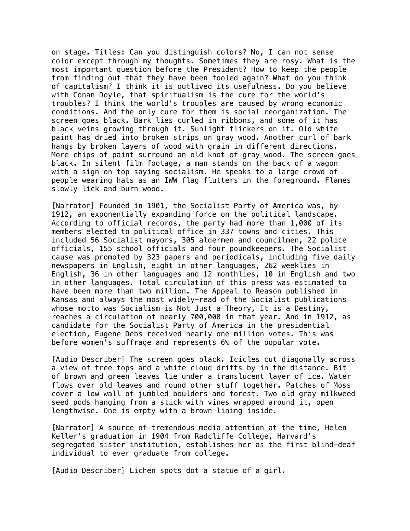on stage. Titles: Can you distinguish colors? No, I can not sense color except through my thoughts. Sometimes they are rosy. What is the most important question before the President? How to keep the people from finding out that they have been fooled again? What do you think of capitalism? I think it is outlived its usefulness. Do you believe with Conan Doyle, that spiritualism is the cure for the world's troubles? I think the world's troubles are caused by wrong economic conditions. And the only cure for them is social reorganization. The screen goes black. Bark lies curled in ribbons, and some of it has black veins growing through it. Sunlight flickers on it. Old white paint has dried into broken strips on gray wood. Another curl of bark hangs by broken layers of wood with grain in different directions. More chips of paint surround an old knot of gray wood. The screen goes black. In silent film footage, a man stands on the back of a wagon with a sign on top saying socialism. He speaks to a large crowd of people wearing hats as an IWW flag flutters in the foreground. Flames slowly lick and burn wood.

[Narrator] Founded in 1901, the Socialist Party of America was, by 1912, an exponentially expanding force on the political landscape. According to official records, the party had more than 1,000 of its members elected to political office in 337 towns and cities. This included 56 Socialist mayors, 305 aldermen and councilmen, 22 police officials, 155 school officials and four poundkeepers. The Socialist cause was promoted by 323 papers and periodicals, including five daily newspapers in English, eight in other languages, 262 weeklies in English, 36 in other languages and 12 monthlies, 10 in English and two in other languages. Total circulation of this press was estimated to have been more than two million. The Appeal to Reason published in Kansas and always the most widely-read of the Socialist publications whose motto was Socialism is Not Just a Theory, It is a Destiny, reaches a circulation of nearly 700,000 in that year. And in 1912, as candidate for the Socialist Party of America in the presidential election, Eugene Debs received nearly one million votes. This was before women's suffrage and represents 6% of the popular vote.

[Audio Describer] The screen goes black. Icicles cut diagonally across a view of tree tops and a white cloud drifts by in the distance. Bit of brown and green leaves lie under a translucent layer of ice. Water flows over old leaves and round other stuff together. Patches of Moss cover a low wall of jumbled boulders and forest. Two old gray milkweed seed pods hanging from a stick with vines wrapped around it, open lengthwise. One is empty with a brown lining inside.

[Narrator] A source of tremendous media attention at the time, Helen Keller's graduation in 1904 from Radcliffe College, Harvard's segregated sister institution, establishes her as the first blind-deaf individual to ever graduate from college.

[Audio Describer] Lichen spots dot a statue of a girl.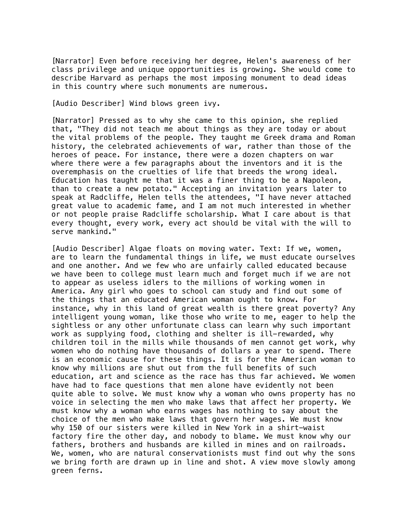[Narrator] Even before receiving her degree, Helen's awareness of her class privilege and unique opportunities is growing. She would come to describe Harvard as perhaps the most imposing monument to dead ideas in this country where such monuments are numerous.

[Audio Describer] Wind blows green ivy.

[Narrator] Pressed as to why she came to this opinion, she replied that, "They did not teach me about things as they are today or about the vital problems of the people. They taught me Greek drama and Roman history, the celebrated achievements of war, rather than those of the heroes of peace. For instance, there were a dozen chapters on war where there were a few paragraphs about the inventors and it is the overemphasis on the cruelties of life that breeds the wrong ideal. Education has taught me that it was a finer thing to be a Napoleon, than to create a new potato." Accepting an invitation years later to speak at Radcliffe, Helen tells the attendees, "I have never attached great value to academic fame, and I am not much interested in whether or not people praise Radcliffe scholarship. What I care about is that every thought, every work, every act should be vital with the will to serve mankind."

[Audio Describer] Algae floats on moving water. Text: If we, women, are to learn the fundamental things in life, we must educate ourselves and one another. And we few who are unfairly called educated because we have been to college must learn much and forget much if we are not to appear as useless idlers to the millions of working women in America. Any girl who goes to school can study and find out some of the things that an educated American woman ought to know. For instance, why in this land of great wealth is there great poverty? Any intelligent young woman, like those who write to me, eager to help the sightless or any other unfortunate class can learn why such important work as supplying food, clothing and shelter is ill-rewarded, why children toil in the mills while thousands of men cannot get work, why women who do nothing have thousands of dollars a year to spend. There is an economic cause for these things. It is for the American woman to know why millions are shut out from the full benefits of such education, art and science as the race has thus far achieved. We women have had to face questions that men alone have evidently not been quite able to solve. We must know why a woman who owns property has no voice in selecting the men who make laws that affect her property. We must know why a woman who earns wages has nothing to say about the choice of the men who make laws that govern her wages. We must know why 150 of our sisters were killed in New York in a shirt-waist factory fire the other day, and nobody to blame. We must know why our fathers, brothers and husbands are killed in mines and on railroads. We, women, who are natural conservationists must find out why the sons we bring forth are drawn up in line and shot. A view move slowly among green ferns.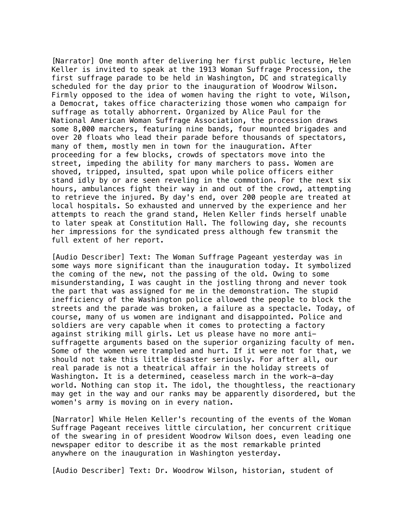[Narrator] One month after delivering her first public lecture, Helen Keller is invited to speak at the 1913 Woman Suffrage Procession, the first suffrage parade to be held in Washington, DC and strategically scheduled for the day prior to the inauguration of Woodrow Wilson. Firmly opposed to the idea of women having the right to vote, Wilson, a Democrat, takes office characterizing those women who campaign for suffrage as totally abhorrent. Organized by Alice Paul for the National American Woman Suffrage Association, the procession draws some 8,000 marchers, featuring nine bands, four mounted brigades and over 20 floats who lead their parade before thousands of spectators, many of them, mostly men in town for the inauguration. After proceeding for a few blocks, crowds of spectators move into the street, impeding the ability for many marchers to pass. Women are shoved, tripped, insulted, spat upon while police officers either stand idly by or are seen reveling in the commotion. For the next six hours, ambulances fight their way in and out of the crowd, attempting to retrieve the injured. By day's end, over 200 people are treated at local hospitals. So exhausted and unnerved by the experience and her attempts to reach the grand stand, Helen Keller finds herself unable to later speak at Constitution Hall. The following day, she recounts her impressions for the syndicated press although few transmit the full extent of her report.

[Audio Describer] Text: The Woman Suffrage Pageant yesterday was in some ways more significant than the inauguration today. It symbolized the coming of the new, not the passing of the old. Owing to some misunderstanding, I was caught in the jostling throng and never took the part that was assigned for me in the demonstration. The stupid inefficiency of the Washington police allowed the people to block the streets and the parade was broken, a failure as a spectacle. Today, of course, many of us women are indignant and disappointed. Police and soldiers are very capable when it comes to protecting a factory against striking mill girls. Let us please have no more antisuffragette arguments based on the superior organizing faculty of men. Some of the women were trampled and hurt. If it were not for that, we should not take this little disaster seriously. For after all, our real parade is not a theatrical affair in the holiday streets of Washington. It is a determined, ceaseless march in the work-a-day world. Nothing can stop it. The idol, the thoughtless, the reactionary may get in the way and our ranks may be apparently disordered, but the women's army is moving on in every nation.

[Narrator] While Helen Keller's recounting of the events of the Woman Suffrage Pageant receives little circulation, her concurrent critique of the swearing in of president Woodrow Wilson does, even leading one newspaper editor to describe it as the most remarkable printed anywhere on the inauguration in Washington yesterday.

[Audio Describer] Text: Dr. Woodrow Wilson, historian, student of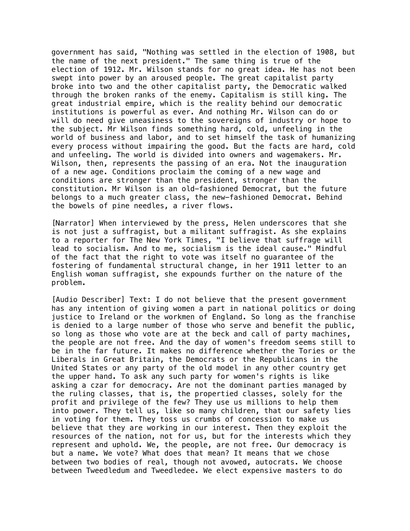government has said, "Nothing was settled in the election of 1908, but the name of the next president." The same thing is true of the election of 1912. Mr. Wilson stands for no great idea. He has not been swept into power by an aroused people. The great capitalist party broke into two and the other capitalist party, the Democratic walked through the broken ranks of the enemy. Capitalism is still king. The great industrial empire, which is the reality behind our democratic institutions is powerful as ever. And nothing Mr. Wilson can do or will do need give uneasiness to the sovereigns of industry or hope to the subject. Mr Wilson finds something hard, cold, unfeeling in the world of business and labor, and to set himself the task of humanizing every process without impairing the good. But the facts are hard, cold and unfeeling. The world is divided into owners and wagemakers. Mr. Wilson, then, represents the passing of an era. Not the inauguration of a new age. Conditions proclaim the coming of a new wage and conditions are stronger than the president, stronger than the constitution. Mr Wilson is an old-fashioned Democrat, but the future belongs to a much greater class, the new-fashioned Democrat. Behind the bowels of pine needles, a river flows.

[Narrator] When interviewed by the press, Helen underscores that she is not just a suffragist, but a militant suffragist. As she explains to a reporter for The New York Times, "I believe that suffrage will lead to socialism. And to me, socialism is the ideal cause." Mindful of the fact that the right to vote was itself no guarantee of the fostering of fundamental structural change, in her 1911 letter to an English woman suffragist, she expounds further on the nature of the problem.

[Audio Describer] Text: I do not believe that the present government has any intention of giving women a part in national politics or doing justice to Ireland or the workmen of England. So long as the franchise is denied to a large number of those who serve and benefit the public, so long as those who vote are at the beck and call of party machines, the people are not free. And the day of women's freedom seems still to be in the far future. It makes no difference whether the Tories or the Liberals in Great Britain, the Democrats or the Republicans in the United States or any party of the old model in any other country get the upper hand. To ask any such party for women's rights is like asking a czar for democracy. Are not the dominant parties managed by the ruling classes, that is, the propertied classes, solely for the profit and privilege of the few? They use us millions to help them into power. They tell us, like so many children, that our safety lies in voting for them. They toss us crumbs of concession to make us believe that they are working in our interest. Then they exploit the resources of the nation, not for us, but for the interests which they represent and uphold. We, the people, are not free. Our democracy is but a name. We vote? What does that mean? It means that we chose between two bodies of real, though not avowed, autocrats. We choose between Tweedledum and Tweedledee. We elect expensive masters to do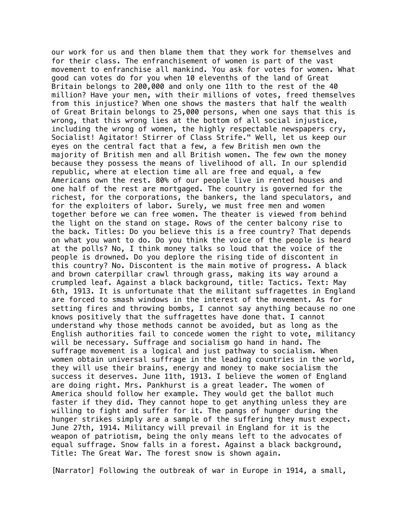our work for us and then blame them that they work for themselves and for their class. The enfranchisement of women is part of the vast movement to enfranchise all mankind. You ask for votes for women. What good can votes do for you when 10 elevenths of the land of Great Britain belongs to 200,000 and only one 11th to the rest of the 40 million? Have your men, with their millions of votes, freed themselves from this injustice? When one shows the masters that half the wealth of Great Britain belongs to 25,000 persons, when one says that this is wrong, that this wrong lies at the bottom of all social injustice, including the wrong of women, the highly respectable newspapers cry, Socialist! Agitator! Stirrer of Class Strife." Well, let us keep our eyes on the central fact that a few, a few British men own the majority of British men and all British women. The few own the money because they possess the means of livelihood of all. In our splendid republic, where at election time all are free and equal, a few Americans own the rest. 80% of our people live in rented houses and one half of the rest are mortgaged. The country is governed for the richest, for the corporations, the bankers, the land speculators, and for the exploiters of labor. Surely, we must free men and women together before we can free women. The theater is viewed from behind the light on the stand on stage. Rows of the center balcony rise to the back. Titles: Do you believe this is a free country? That depends on what you want to do. Do you think the voice of the people is heard at the polls? No, I think money talks so loud that the voice of the people is drowned. Do you deplore the rising tide of discontent in this country? No. Discontent is the main motive of progress. A black and brown caterpillar crawl through grass, making its way around a crumpled leaf. Against a black background, title: Tactics. Text: May 6th, 1913. It is unfortunate that the militant suffragettes in England are forced to smash windows in the interest of the movement. As for setting fires and throwing bombs, I cannot say anything because no one knows positively that the suffragettes have done that. I cannot understand why those methods cannot be avoided, but as long as the English authorities fail to concede women the right to vote, militancy will be necessary. Suffrage and socialism go hand in hand. The suffrage movement is a logical and just pathway to socialism. When women obtain universal suffrage in the leading countries in the world, they will use their brains, energy and money to make socialism the success it deserves. June 11th, 1913. I believe the women of England are doing right. Mrs. Pankhurst is a great leader. The women of America should follow her example. They would get the ballot much faster if they did. They cannot hope to get anything unless they are willing to fight and suffer for it. The pangs of hunger during the hunger strikes simply are a sample of the suffering they must expect. June 27th, 1914. Militancy will prevail in England for it is the weapon of patriotism, being the only means left to the advocates of equal suffrage. Snow falls in a forest. Against a black background, Title: The Great War. The forest snow is shown again.

[Narrator] Following the outbreak of war in Europe in 1914, a small,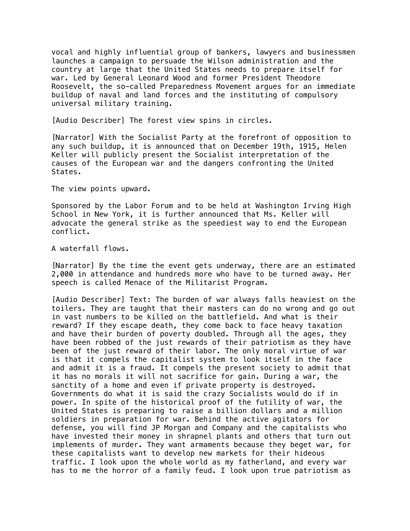vocal and highly influential group of bankers, lawyers and businessmen launches a campaign to persuade the Wilson administration and the country at large that the United States needs to prepare itself for war. Led by General Leonard Wood and former President Theodore Roosevelt, the so-called Preparedness Movement argues for an immediate buildup of naval and land forces and the instituting of compulsory universal military training.

[Audio Describer] The forest view spins in circles.

[Narrator] With the Socialist Party at the forefront of opposition to any such buildup, it is announced that on December 19th, 1915, Helen Keller will publicly present the Socialist interpretation of the causes of the European war and the dangers confronting the United States.

The view points upward.

Sponsored by the Labor Forum and to be held at Washington Irving High School in New York, it is further announced that Ms. Keller will advocate the general strike as the speediest way to end the European conflict.

A waterfall flows.

[Narrator] By the time the event gets underway, there are an estimated 2,000 in attendance and hundreds more who have to be turned away. Her speech is called Menace of the Militarist Program.

[Audio Describer] Text: The burden of war always falls heaviest on the toilers. They are taught that their masters can do no wrong and go out in vast numbers to be killed on the battlefield. And what is their reward? If they escape death, they come back to face heavy taxation and have their burden of poverty doubled. Through all the ages, they have been robbed of the just rewards of their patriotism as they have been of the just reward of their labor. The only moral virtue of war is that it compels the capitalist system to look itself in the face and admit it is a fraud. It compels the present society to admit that it has no morals it will not sacrifice for gain. During a war, the sanctity of a home and even if private property is destroyed. Governments do what it is said the crazy Socialists would do if in power. In spite of the historical proof of the futility of war, the United States is preparing to raise a billion dollars and a million soldiers in preparation for war. Behind the active agitators for defense, you will find JP Morgan and Company and the capitalists who have invested their money in shrapnel plants and others that turn out implements of murder. They want armaments because they beget war, for these capitalists want to develop new markets for their hideous traffic. I look upon the whole world as my fatherland, and every war has to me the horror of a family feud. I look upon true patriotism as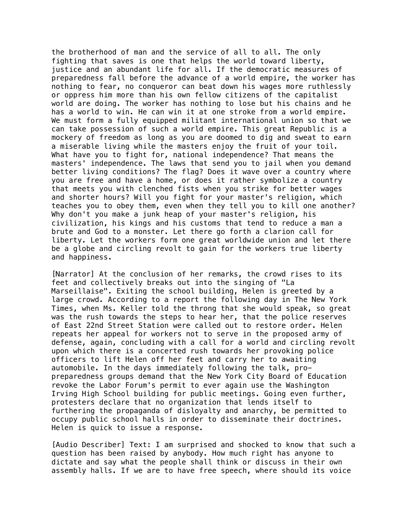the brotherhood of man and the service of all to all. The only fighting that saves is one that helps the world toward liberty, justice and an abundant life for all. If the democratic measures of preparedness fall before the advance of a world empire, the worker has nothing to fear, no conqueror can beat down his wages more ruthlessly or oppress him more than his own fellow citizens of the capitalist world are doing. The worker has nothing to lose but his chains and he has a world to win. He can win it at one stroke from a world empire. We must form a fully equipped militant international union so that we can take possession of such a world empire. This great Republic is a mockery of freedom as long as you are doomed to dig and sweat to earn a miserable living while the masters enjoy the fruit of your toil. What have you to fight for, national independence? That means the masters' independence. The laws that send you to jail when you demand better living conditions? The flag? Does it wave over a country where you are free and have a home, or does it rather symbolize a country that meets you with clenched fists when you strike for better wages and shorter hours? Will you fight for your master's religion, which teaches you to obey them, even when they tell you to kill one another? Why don't you make a junk heap of your master's religion, his civilization, his kings and his customs that tend to reduce a man a brute and God to a monster. Let there go forth a clarion call for liberty. Let the workers form one great worldwide union and let there be a globe and circling revolt to gain for the workers true liberty and happiness.

[Narrator] At the conclusion of her remarks, the crowd rises to its feet and collectively breaks out into the singing of "La Marseillaise". Exiting the school building, Helen is greeted by a large crowd. According to a report the following day in The New York Times, when Ms. Keller told the throng that she would speak, so great was the rush towards the steps to hear her, that the police reserves of East 22nd Street Station were called out to restore order. Helen repeats her appeal for workers not to serve in the proposed army of defense, again, concluding with a call for a world and circling revolt upon which there is a concerted rush towards her provoking police officers to lift Helen off her feet and carry her to awaiting automobile. In the days immediately following the talk, propreparedness groups demand that the New York City Board of Education revoke the Labor Forum's permit to ever again use the Washington Irving High School building for public meetings. Going even further, protesters declare that no organization that lends itself to furthering the propaganda of disloyalty and anarchy, be permitted to occupy public school halls in order to disseminate their doctrines. Helen is quick to issue a response.

[Audio Describer] Text: I am surprised and shocked to know that such a question has been raised by anybody. How much right has anyone to dictate and say what the people shall think or discuss in their own assembly halls. If we are to have free speech, where should its voice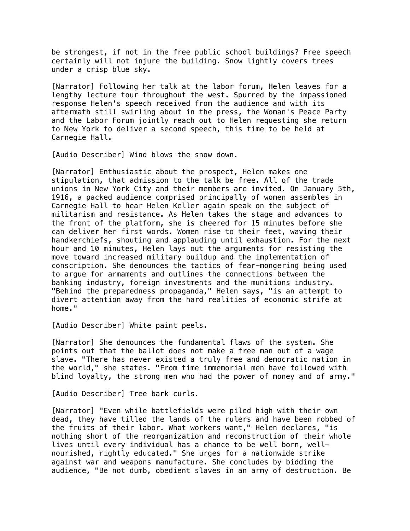be strongest, if not in the free public school buildings? Free speech certainly will not injure the building. Snow lightly covers trees under a crisp blue sky.

[Narrator] Following her talk at the labor forum, Helen leaves for a lengthy lecture tour throughout the west. Spurred by the impassioned response Helen's speech received from the audience and with its aftermath still swirling about in the press, the Woman's Peace Party and the Labor Forum jointly reach out to Helen requesting she return to New York to deliver a second speech, this time to be held at Carnegie Hall.

[Audio Describer] Wind blows the snow down.

[Narrator] Enthusiastic about the prospect, Helen makes one stipulation, that admission to the talk be free. All of the trade unions in New York City and their members are invited. On January 5th, 1916, a packed audience comprised principally of women assembles in Carnegie Hall to hear Helen Keller again speak on the subject of militarism and resistance. As Helen takes the stage and advances to the front of the platform, she is cheered for 15 minutes before she can deliver her first words. Women rise to their feet, waving their handkerchiefs, shouting and applauding until exhaustion. For the next hour and 10 minutes, Helen lays out the arguments for resisting the move toward increased military buildup and the implementation of conscription. She denounces the tactics of fear-mongering being used to argue for armaments and outlines the connections between the banking industry, foreign investments and the munitions industry. "Behind the preparedness propaganda," Helen says, "is an attempt to divert attention away from the hard realities of economic strife at home."

[Audio Describer] White paint peels.

[Narrator] She denounces the fundamental flaws of the system. She points out that the ballot does not make a free man out of a wage slave. "There has never existed a truly free and democratic nation in the world," she states. "From time immemorial men have followed with blind loyalty, the strong men who had the power of money and of army."

[Audio Describer] Tree bark curls.

[Narrator] "Even while battlefields were piled high with their own dead, they have tilled the lands of the rulers and have been robbed of the fruits of their labor. What workers want," Helen declares, "is nothing short of the reorganization and reconstruction of their whole lives until every individual has a chance to be well born, wellnourished, rightly educated." She urges for a nationwide strike against war and weapons manufacture. She concludes by bidding the audience, "Be not dumb, obedient slaves in an army of destruction. Be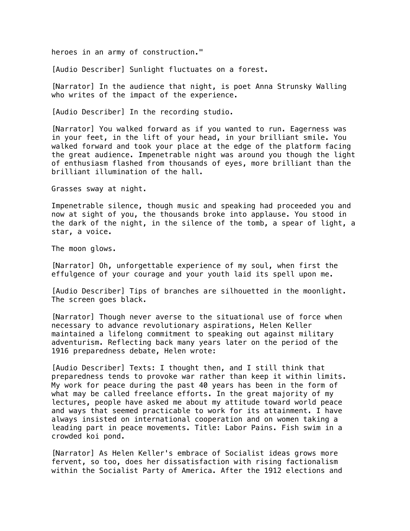heroes in an army of construction."

[Audio Describer] Sunlight fluctuates on a forest.

[Narrator] In the audience that night, is poet Anna Strunsky Walling who writes of the impact of the experience.

[Audio Describer] In the recording studio.

[Narrator] You walked forward as if you wanted to run. Eagerness was in your feet, in the lift of your head, in your brilliant smile. You walked forward and took your place at the edge of the platform facing the great audience. Impenetrable night was around you though the light of enthusiasm flashed from thousands of eyes, more brilliant than the brilliant illumination of the hall.

Grasses sway at night.

Impenetrable silence, though music and speaking had proceeded you and now at sight of you, the thousands broke into applause. You stood in the dark of the night, in the silence of the tomb, a spear of light, a star, a voice.

The moon glows.

[Narrator] Oh, unforgettable experience of my soul, when first the effulgence of your courage and your youth laid its spell upon me.

[Audio Describer] Tips of branches are silhouetted in the moonlight. The screen goes black.

[Narrator] Though never averse to the situational use of force when necessary to advance revolutionary aspirations, Helen Keller maintained a lifelong commitment to speaking out against military adventurism. Reflecting back many years later on the period of the 1916 preparedness debate, Helen wrote:

[Audio Describer] Texts: I thought then, and I still think that preparedness tends to provoke war rather than keep it within limits. My work for peace during the past 40 years has been in the form of what may be called freelance efforts. In the great majority of my lectures, people have asked me about my attitude toward world peace and ways that seemed practicable to work for its attainment. I have always insisted on international cooperation and on women taking a leading part in peace movements. Title: Labor Pains. Fish swim in a crowded koi pond.

[Narrator] As Helen Keller's embrace of Socialist ideas grows more fervent, so too, does her dissatisfaction with rising factionalism within the Socialist Party of America. After the 1912 elections and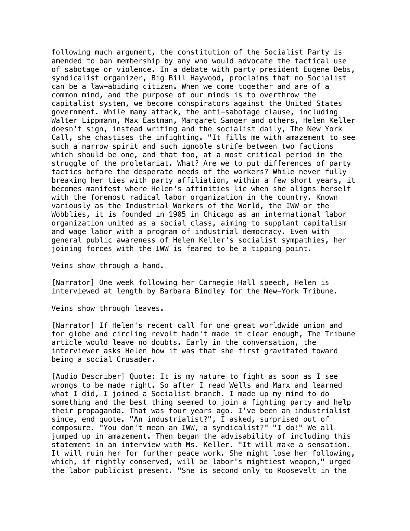following much argument, the constitution of the Socialist Party is amended to ban membership by any who would advocate the tactical use of sabotage or violence. In a debate with party president Eugene Debs, syndicalist organizer, Big Bill Haywood, proclaims that no Socialist can be a law-abiding citizen. When we come together and are of a common mind, and the purpose of our minds is to overthrow the capitalist system, we become conspirators against the United States government. While many attack, the anti-sabotage clause, including Walter Lippmann, Max Eastman, Margaret Sanger and others, Helen Keller doesn't sign, instead writing and the socialist daily, The New York Call, she chastises the infighting. "It fills me with amazement to see such a narrow spirit and such ignoble strife between two factions which should be one, and that too, at a most critical period in the struggle of the proletariat. What? Are we to put differences of party tactics before the desperate needs of the workers? While never fully breaking her ties with party affiliation, within a few short years, it becomes manifest where Helen's affinities lie when she aligns herself with the foremost radical labor organization in the country. Known variously as the Industrial Workers of the World, the IWW or the Wobblies, it is founded in 1905 in Chicago as an international labor organization united as a social class, aiming to supplant capitalism and wage labor with a program of industrial democracy. Even with general public awareness of Helen Keller's socialist sympathies, her joining forces with the IWW is feared to be a tipping point.

Veins show through a hand.

[Narrator] One week following her Carnegie Hall speech, Helen is interviewed at length by Barbara Bindley for the New-York Tribune.

Veins show through leaves.

[Narrator] If Helen's recent call for one great worldwide union and for globe and circling revolt hadn't made it clear enough, The Tribune article would leave no doubts. Early in the conversation, the interviewer asks Helen how it was that she first gravitated toward being a social Crusader.

[Audio Describer] Quote: It is my nature to fight as soon as I see wrongs to be made right. So after I read Wells and Marx and learned what I did, I joined a Socialist branch. I made up my mind to do something and the best thing seemed to join a fighting party and help their propaganda. That was four years ago. I've been an industrialist since, end quote. "An industrialist?", I asked, surprised out of composure. "You don't mean an IWW, a syndicalist?" "I do!" We all jumped up in amazement. Then began the advisability of including this statement in an interview with Ms. Keller. "It will make a sensation. It will ruin her for further peace work. She might lose her following, which, if rightly conserved, will be labor's mightiest weapon," urged the labor publicist present. "She is second only to Roosevelt in the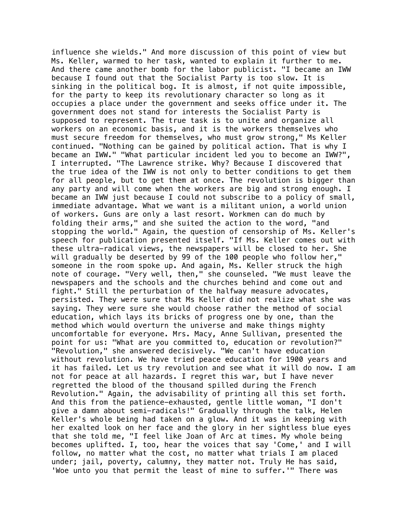influence she wields." And more discussion of this point of view but Ms. Keller, warmed to her task, wanted to explain it further to me. And there came another bomb for the labor publicist. "I became an IWW because I found out that the Socialist Party is too slow. It is sinking in the political bog. It is almost, if not quite impossible, for the party to keep its revolutionary character so long as it occupies a place under the government and seeks office under it. The government does not stand for interests the Socialist Party is supposed to represent. The true task is to unite and organize all workers on an economic basis, and it is the workers themselves who must secure freedom for themselves, who must grow strong," Ms Keller continued. "Nothing can be gained by political action. That is why I became an IWW." "What particular incident led you to become an IWW?", I interrupted. "The Lawrence strike. Why? Because I discovered that the true idea of the IWW is not only to better conditions to get them for all people, but to get them at once. The revolution is bigger than any party and will come when the workers are big and strong enough. I became an IWW just because I could not subscribe to a policy of small, immediate advantage. What we want is a militant union, a world union of workers. Guns are only a last resort. Workmen can do much by folding their arms," and she suited the action to the word, "and stopping the world." Again, the question of censorship of Ms. Keller's speech for publication presented itself. "If Ms. Keller comes out with these ultra-radical views, the newspapers will be closed to her. She will gradually be deserted by 99 of the 100 people who follow her," someone in the room spoke up. And again, Ms. Keller struck the high note of courage. "Very well, then," she counseled. "We must leave the newspapers and the schools and the churches behind and come out and fight." Still the perturbation of the halfway measure advocates, persisted. They were sure that Ms Keller did not realize what she was saying. They were sure she would choose rather the method of social education, which lays its bricks of progress one by one, than the method which would overturn the universe and make things mighty uncomfortable for everyone. Mrs. Macy, Anne Sullivan, presented the point for us: "What are you committed to, education or revolution?" "Revolution," she answered decisively. "We can't have education without revolution. We have tried peace education for 1900 years and it has failed. Let us try revolution and see what it will do now. I am not for peace at all hazards. I regret this war, but I have never regretted the blood of the thousand spilled during the French Revolution." Again, the advisability of printing all this set forth. And this from the patience-exhausted, gentle little woman, "I don't give a damn about semi-radicals!" Gradually through the talk, Helen Keller's whole being had taken on a glow. And it was in keeping with her exalted look on her face and the glory in her sightless blue eyes that she told me, "I feel like Joan of Arc at times. My whole being becomes uplifted. I, too, hear the voices that say 'Come,' and I will follow, no matter what the cost, no matter what trials I am placed under; jail, poverty, calumny, they matter not. Truly He has said, 'Woe unto you that permit the least of mine to suffer.'" There was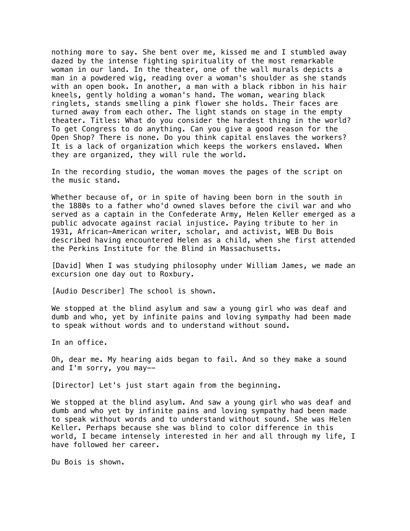nothing more to say. She bent over me, kissed me and I stumbled away dazed by the intense fighting spirituality of the most remarkable woman in our land. In the theater, one of the wall murals depicts a man in a powdered wig, reading over a woman's shoulder as she stands with an open book. In another, a man with a black ribbon in his hair kneels, gently holding a woman's hand. The woman, wearing black ringlets, stands smelling a pink flower she holds. Their faces are turned away from each other. The light stands on stage in the empty theater. Titles: What do you consider the hardest thing in the world? To get Congress to do anything. Can you give a good reason for the Open Shop? There is none. Do you think capital enslaves the workers? It is a lack of organization which keeps the workers enslaved. When they are organized, they will rule the world.

In the recording studio, the woman moves the pages of the script on the music stand.

Whether because of, or in spite of having been born in the south in the 1880s to a father who'd owned slaves before the civil war and who served as a captain in the Confederate Army, Helen Keller emerged as a public advocate against racial injustice. Paying tribute to her in 1931, African-American writer, scholar, and activist, WEB Du Bois described having encountered Helen as a child, when she first attended the Perkins Institute for the Blind in Massachusetts.

[David] When I was studying philosophy under William James, we made an excursion one day out to Roxbury.

[Audio Describer] The school is shown.

We stopped at the blind asylum and saw a young girl who was deaf and dumb and who, yet by infinite pains and loving sympathy had been made to speak without words and to understand without sound.

In an office.

Oh, dear me. My hearing aids began to fail. And so they make a sound and I'm sorry, you may--

[Director] Let's just start again from the beginning.

We stopped at the blind asylum. And saw a young girl who was deaf and dumb and who yet by infinite pains and loving sympathy had been made to speak without words and to understand without sound. She was Helen Keller. Perhaps because she was blind to color difference in this world, I became intensely interested in her and all through my life, I have followed her career.

Du Bois is shown.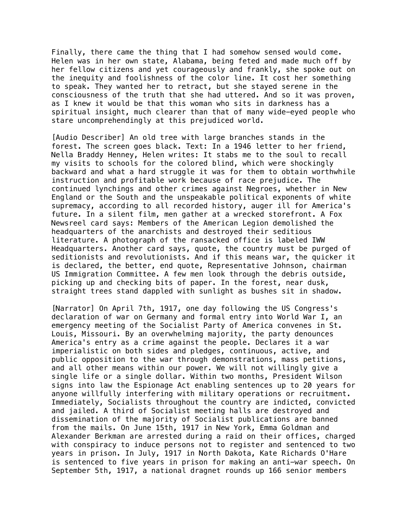Finally, there came the thing that I had somehow sensed would come. Helen was in her own state, Alabama, being feted and made much off by her fellow citizens and yet courageously and frankly, she spoke out on the inequity and foolishness of the color line. It cost her something to speak. They wanted her to retract, but she stayed serene in the consciousness of the truth that she had uttered. And so it was proven, as I knew it would be that this woman who sits in darkness has a spiritual insight, much clearer than that of many wide-eyed people who stare uncomprehendingly at this prejudiced world.

[Audio Describer] An old tree with large branches stands in the forest. The screen goes black. Text: In a 1946 letter to her friend, Nella Braddy Henney, Helen writes: It stabs me to the soul to recall my visits to schools for the colored blind, which were shockingly backward and what a hard struggle it was for them to obtain worthwhile instruction and profitable work because of race prejudice. The continued lynchings and other crimes against Negroes, whether in New England or the South and the unspeakable political exponents of white supremacy, according to all recorded history, auger ill for America's future. In a silent film, men gather at a wrecked storefront. A Fox Newsreel card says: Members of the American Legion demolished the headquarters of the anarchists and destroyed their seditious literature. A photograph of the ransacked office is labeled IWW Headquarters. Another card says, quote, the country must be purged of seditionists and revolutionists. And if this means war, the quicker it is declared, the better, end quote, Representative Johnson, chairman US Immigration Committee. A few men look through the debris outside, picking up and checking bits of paper. In the forest, near dusk, straight trees stand dappled with sunlight as bushes sit in shadow.

[Narrator] On April 7th, 1917, one day following the US Congress's declaration of war on Germany and formal entry into World War I, an emergency meeting of the Socialist Party of America convenes in St. Louis, Missouri. By an overwhelming majority, the party denounces America's entry as a crime against the people. Declares it a war imperialistic on both sides and pledges, continuous, active, and public opposition to the war through demonstrations, mass petitions, and all other means within our power. We will not willingly give a single life or a single dollar. Within two months, President Wilson signs into law the Espionage Act enabling sentences up to 20 years for anyone willfully interfering with military operations or recruitment. Immediately, Socialists throughout the country are indicted, convicted and jailed. A third of Socialist meeting halls are destroyed and dissemination of the majority of Socialist publications are banned from the mails. On June 15th, 1917 in New York, Emma Goldman and Alexander Berkman are arrested during a raid on their offices, charged with conspiracy to induce persons not to register and sentenced to two years in prison. In July, 1917 in North Dakota, Kate Richards O'Hare is sentenced to five years in prison for making an anti-war speech. On September 5th, 1917, a national dragnet rounds up 166 senior members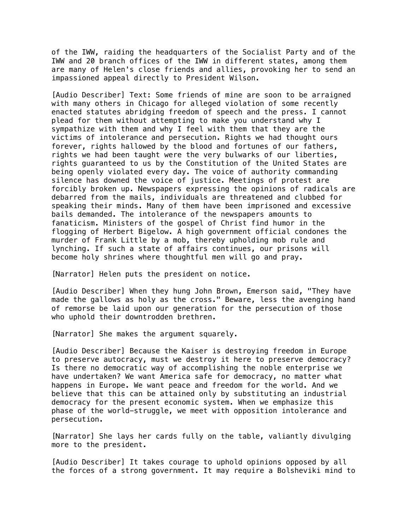of the IWW, raiding the headquarters of the Socialist Party and of the IWW and 20 branch offices of the IWW in different states, among them are many of Helen's close friends and allies, provoking her to send an impassioned appeal directly to President Wilson.

[Audio Describer] Text: Some friends of mine are soon to be arraigned with many others in Chicago for alleged violation of some recently enacted statutes abridging freedom of speech and the press. I cannot plead for them without attempting to make you understand why I sympathize with them and why I feel with them that they are the victims of intolerance and persecution. Rights we had thought ours forever, rights hallowed by the blood and fortunes of our fathers, rights we had been taught were the very bulwarks of our liberties, rights guaranteed to us by the Constitution of the United States are being openly violated every day. The voice of authority commanding silence has downed the voice of justice. Meetings of protest are forcibly broken up. Newspapers expressing the opinions of radicals are debarred from the mails, individuals are threatened and clubbed for speaking their minds. Many of them have been imprisoned and excessive bails demanded. The intolerance of the newspapers amounts to fanaticism. Ministers of the gospel of Christ find humor in the flogging of Herbert Bigelow. A high government official condones the murder of Frank Little by a mob, thereby upholding mob rule and lynching. If such a state of affairs continues, our prisons will become holy shrines where thoughtful men will go and pray.

[Narrator] Helen puts the president on notice.

[Audio Describer] When they hung John Brown, Emerson said, "They have made the gallows as holy as the cross." Beware, less the avenging hand of remorse be laid upon our generation for the persecution of those who uphold their downtrodden brethren.

[Narrator] She makes the argument squarely.

[Audio Describer] Because the Kaiser is destroying freedom in Europe to preserve autocracy, must we destroy it here to preserve democracy? Is there no democratic way of accomplishing the noble enterprise we have undertaken? We want America safe for democracy, no matter what happens in Europe. We want peace and freedom for the world. And we believe that this can be attained only by substituting an industrial democracy for the present economic system. When we emphasize this phase of the world-struggle, we meet with opposition intolerance and persecution.

[Narrator] She lays her cards fully on the table, valiantly divulging more to the president.

[Audio Describer] It takes courage to uphold opinions opposed by all the forces of a strong government. It may require a Bolsheviki mind to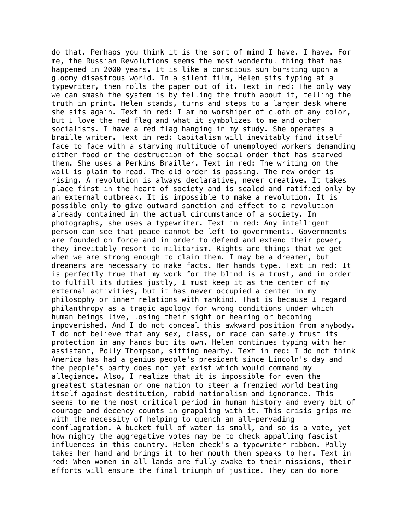do that. Perhaps you think it is the sort of mind I have. I have. For me, the Russian Revolutions seems the most wonderful thing that has happened in 2000 years. It is like a conscious sun bursting upon a gloomy disastrous world. In a silent film, Helen sits typing at a typewriter, then rolls the paper out of it. Text in red: The only way we can smash the system is by telling the truth about it, telling the truth in print. Helen stands, turns and steps to a larger desk where she sits again. Text in red: I am no worshiper of cloth of any color, but I love the red flag and what it symbolizes to me and other socialists. I have a red flag hanging in my study. She operates a braille writer. Text in red: Capitalism will inevitably find itself face to face with a starving multitude of unemployed workers demanding either food or the destruction of the social order that has starved them. She uses a Perkins Brailler. Text in red: The writing on the wall is plain to read. The old order is passing. The new order is rising. A revolution is always declarative, never creative. It takes place first in the heart of society and is sealed and ratified only by an external outbreak. It is impossible to make a revolution. It is possible only to give outward sanction and effect to a revolution already contained in the actual circumstance of a society. In photographs, she uses a typewriter. Text in red: Any intelligent person can see that peace cannot be left to governments. Governments are founded on force and in order to defend and extend their power, they inevitably resort to militarism. Rights are things that we get when we are strong enough to claim them. I may be a dreamer, but dreamers are necessary to make facts. Her hands type. Text in red: It is perfectly true that my work for the blind is a trust, and in order to fulfill its duties justly, I must keep it as the center of my external activities, but it has never occupied a center in my philosophy or inner relations with mankind. That is because I regard philanthropy as a tragic apology for wrong conditions under which human beings live, losing their sight or hearing or becoming impoverished. And I do not conceal this awkward position from anybody. I do not believe that any sex, class, or race can safely trust its protection in any hands but its own. Helen continues typing with her assistant, Polly Thompson, sitting nearby. Text in red: I do not think America has had a genius people's president since Lincoln's day and the people's party does not yet exist which would command my allegiance. Also, I realize that it is impossible for even the greatest statesman or one nation to steer a frenzied world beating itself against destitution, rabid nationalism and ignorance. This seems to me the most critical period in human history and every bit of courage and decency counts in grappling with it. This crisis grips me with the necessity of helping to quench an all-pervading conflagration. A bucket full of water is small, and so is a vote, yet how mighty the aggregative votes may be to check appalling fascist influences in this country. Helen check's a typewriter ribbon. Polly takes her hand and brings it to her mouth then speaks to her. Text in red: When women in all lands are fully awake to their missions, their efforts will ensure the final triumph of justice. They can do more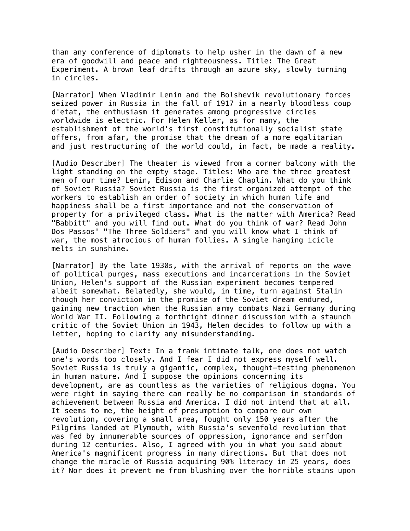than any conference of diplomats to help usher in the dawn of a new era of goodwill and peace and righteousness. Title: The Great Experiment. A brown leaf drifts through an azure sky, slowly turning in circles.

[Narrator] When Vladimir Lenin and the Bolshevik revolutionary forces seized power in Russia in the fall of 1917 in a nearly bloodless coup d'etat, the enthusiasm it generates among progressive circles worldwide is electric. For Helen Keller, as for many, the establishment of the world's first constitutionally socialist state offers, from afar, the promise that the dream of a more egalitarian and just restructuring of the world could, in fact, be made a reality.

[Audio Describer] The theater is viewed from a corner balcony with the light standing on the empty stage. Titles: Who are the three greatest men of our time? Lenin, Edison and Charlie Chaplin. What do you think of Soviet Russia? Soviet Russia is the first organized attempt of the workers to establish an order of society in which human life and happiness shall be a first importance and not the conservation of property for a privileged class. What is the matter with America? Read "Babbitt" and you will find out. What do you think of war? Read John Dos Passos' "The Three Soldiers" and you will know what I think of war, the most atrocious of human follies. A single hanging icicle melts in sunshine.

[Narrator] By the late 1930s, with the arrival of reports on the wave of political purges, mass executions and incarcerations in the Soviet Union, Helen's support of the Russian experiment becomes tempered albeit somewhat. Belatedly, she would, in time, turn against Stalin though her conviction in the promise of the Soviet dream endured, gaining new traction when the Russian army combats Nazi Germany during World War II. Following a forthright dinner discussion with a staunch critic of the Soviet Union in 1943, Helen decides to follow up with a letter, hoping to clarify any misunderstanding.

[Audio Describer] Text: In a frank intimate talk, one does not watch one's words too closely. And I fear I did not express myself well. Soviet Russia is truly a gigantic, complex, thought-testing phenomenon in human nature. And I suppose the opinions concerning its development, are as countless as the varieties of religious dogma. You were right in saying there can really be no comparison in standards of achievement between Russia and America. I did not intend that at all. It seems to me, the height of presumption to compare our own revolution, covering a small area, fought only 150 years after the Pilgrims landed at Plymouth, with Russia's sevenfold revolution that was fed by innumerable sources of oppression, ignorance and serfdom during 12 centuries. Also, I agreed with you in what you said about America's magnificent progress in many directions. But that does not change the miracle of Russia acquiring 90% literacy in 25 years, does it? Nor does it prevent me from blushing over the horrible stains upon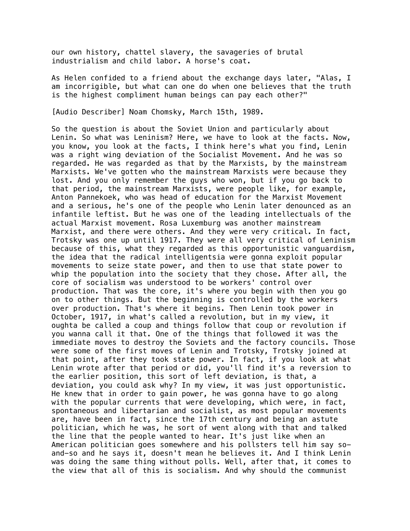our own history, chattel slavery, the savageries of brutal industrialism and child labor. A horse's coat.

As Helen confided to a friend about the exchange days later, "Alas, I am incorrigible, but what can one do when one believes that the truth is the highest compliment human beings can pay each other?"

[Audio Describer] Noam Chomsky, March 15th, 1989.

So the question is about the Soviet Union and particularly about Lenin. So what was Leninism? Here, we have to look at the facts. Now, you know, you look at the facts, I think here's what you find, Lenin was a right wing deviation of the Socialist Movement. And he was so regarded. He was regarded as that by the Marxists, by the mainstream Marxists. We've gotten who the mainstream Marxists were because they lost. And you only remember the guys who won, but if you go back to that period, the mainstream Marxists, were people like, for example, Anton Pannekoek, who was head of education for the Marxist Movement and a serious, he's one of the people who Lenin later denounced as an infantile leftist. But he was one of the leading intellectuals of the actual Marxist movement. Rosa Luxemburg was another mainstream Marxist, and there were others. And they were very critical. In fact, Trotsky was one up until 1917. They were all very critical of Leninism because of this, what they regarded as this opportunistic vanguardism, the idea that the radical intelligentsia were gonna exploit popular movements to seize state power, and then to use that state power to whip the population into the society that they chose. After all, the core of socialism was understood to be workers' control over production. That was the core, it's where you begin with then you go on to other things. But the beginning is controlled by the workers over production. That's where it begins. Then Lenin took power in October, 1917, in what's called a revolution, but in my view, it oughta be called a coup and things follow that coup or revolution if you wanna call it that. One of the things that followed it was the immediate moves to destroy the Soviets and the factory councils. Those were some of the first moves of Lenin and Trotsky, Trotsky joined at that point, after they took state power. In fact, if you look at what Lenin wrote after that period or did, you'll find it's a reversion to the earlier position, this sort of left deviation, is that, a deviation, you could ask why? In my view, it was just opportunistic. He knew that in order to gain power, he was gonna have to go along with the popular currents that were developing, which were, in fact, spontaneous and libertarian and socialist, as most popular movements are, have been in fact, since the 17th century and being an astute politician, which he was, he sort of went along with that and talked the line that the people wanted to hear. It's just like when an American politician goes somewhere and his pollsters tell him say soand-so and he says it, doesn't mean he believes it. And I think Lenin was doing the same thing without polls. Well, after that, it comes to the view that all of this is socialism. And why should the communist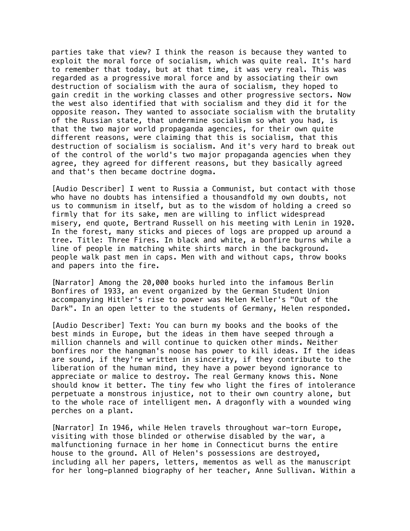parties take that view? I think the reason is because they wanted to exploit the moral force of socialism, which was quite real. It's hard to remember that today, but at that time, it was very real. This was regarded as a progressive moral force and by associating their own destruction of socialism with the aura of socialism, they hoped to gain credit in the working classes and other progressive sectors. Now the west also identified that with socialism and they did it for the opposite reason. They wanted to associate socialism with the brutality of the Russian state, that undermine socialism so what you had, is that the two major world propaganda agencies, for their own quite different reasons, were claiming that this is socialism, that this destruction of socialism is socialism. And it's very hard to break out of the control of the world's two major propaganda agencies when they agree, they agreed for different reasons, but they basically agreed and that's then became doctrine dogma.

[Audio Describer] I went to Russia a Communist, but contact with those who have no doubts has intensified a thousandfold my own doubts, not us to communism in itself, but as to the wisdom of holding a creed so firmly that for its sake, men are willing to inflict widespread misery, end quote, Bertrand Russell on his meeting with Lenin in 1920. In the forest, many sticks and pieces of logs are propped up around a tree. Title: Three Fires. In black and white, a bonfire burns while a line of people in matching white shirts march in the background. people walk past men in caps. Men with and without caps, throw books and papers into the fire.

[Narrator] Among the 20,000 books hurled into the infamous Berlin Bonfires of 1933, an event organized by the German Student Union accompanying Hitler's rise to power was Helen Keller's "Out of the Dark". In an open letter to the students of Germany, Helen responded.

[Audio Describer] Text: You can burn my books and the books of the best minds in Europe, but the ideas in them have seeped through a million channels and will continue to quicken other minds. Neither bonfires nor the hangman's noose has power to kill ideas. If the ideas are sound, if they're written in sincerity, if they contribute to the liberation of the human mind, they have a power beyond ignorance to appreciate or malice to destroy. The real Germany knows this. None should know it better. The tiny few who light the fires of intolerance perpetuate a monstrous injustice, not to their own country alone, but to the whole race of intelligent men. A dragonfly with a wounded wing perches on a plant.

[Narrator] In 1946, while Helen travels throughout war-torn Europe, visiting with those blinded or otherwise disabled by the war, a malfunctioning furnace in her home in Connecticut burns the entire house to the ground. All of Helen's possessions are destroyed, including all her papers, letters, mementos as well as the manuscript for her long-planned biography of her teacher, Anne Sullivan. Within a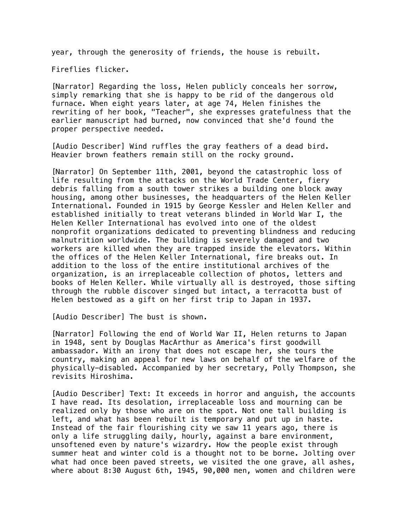year, through the generosity of friends, the house is rebuilt.

Fireflies flicker.

[Narrator] Regarding the loss, Helen publicly conceals her sorrow, simply remarking that she is happy to be rid of the dangerous old furnace. When eight years later, at age 74, Helen finishes the rewriting of her book, "Teacher", she expresses gratefulness that the earlier manuscript had burned, now convinced that she'd found the proper perspective needed.

[Audio Describer] Wind ruffles the gray feathers of a dead bird. Heavier brown feathers remain still on the rocky ground.

[Narrator] On September 11th, 2001, beyond the catastrophic loss of life resulting from the attacks on the World Trade Center, fiery debris falling from a south tower strikes a building one block away housing, among other businesses, the headquarters of the Helen Keller International. Founded in 1915 by George Kessler and Helen Keller and established initially to treat veterans blinded in World War I, the Helen Keller International has evolved into one of the oldest nonprofit organizations dedicated to preventing blindness and reducing malnutrition worldwide. The building is severely damaged and two workers are killed when they are trapped inside the elevators. Within the offices of the Helen Keller International, fire breaks out. In addition to the loss of the entire institutional archives of the organization, is an irreplaceable collection of photos, letters and books of Helen Keller. While virtually all is destroyed, those sifting through the rubble discover singed but intact, a terracotta bust of Helen bestowed as a gift on her first trip to Japan in 1937.

[Audio Describer] The bust is shown.

[Narrator] Following the end of World War II, Helen returns to Japan in 1948, sent by Douglas MacArthur as America's first goodwill ambassador. With an irony that does not escape her, she tours the country, making an appeal for new laws on behalf of the welfare of the physically-disabled. Accompanied by her secretary, Polly Thompson, she revisits Hiroshima.

[Audio Describer] Text: It exceeds in horror and anguish, the accounts I have read. Its desolation, irreplaceable loss and mourning can be realized only by those who are on the spot. Not one tall building is left, and what has been rebuilt is temporary and put up in haste. Instead of the fair flourishing city we saw 11 years ago, there is only a life struggling daily, hourly, against a bare environment, unsoftened even by nature's wizardry. How the people exist through summer heat and winter cold is a thought not to be borne. Jolting over what had once been paved streets, we visited the one grave, all ashes, where about 8:30 August 6th, 1945, 90,000 men, women and children were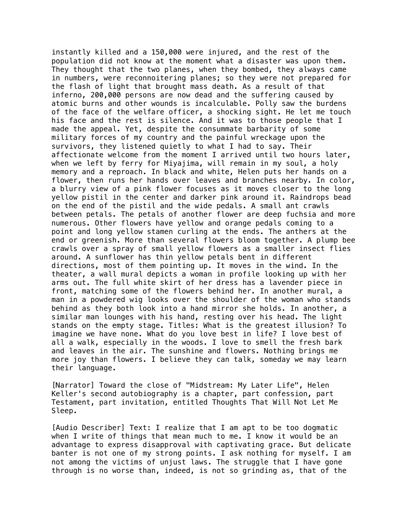instantly killed and a 150,000 were injured, and the rest of the population did not know at the moment what a disaster was upon them. They thought that the two planes, when they bombed, they always came in numbers, were reconnoitering planes; so they were not prepared for the flash of light that brought mass death. As a result of that inferno, 200,000 persons are now dead and the suffering caused by atomic burns and other wounds is incalculable. Polly saw the burdens of the face of the welfare officer, a shocking sight. He let me touch his face and the rest is silence. And it was to those people that I made the appeal. Yet, despite the consummate barbarity of some military forces of my country and the painful wreckage upon the survivors, they listened quietly to what I had to say. Their affectionate welcome from the moment I arrived until two hours later, when we left by ferry for Miyajima, will remain in my soul, a holy memory and a reproach. In black and white, Helen puts her hands on a flower, then runs her hands over leaves and branches nearby. In color, a blurry view of a pink flower focuses as it moves closer to the long yellow pistil in the center and darker pink around it. Raindrops bead on the end of the pistil and the wide pedals. A small ant crawls between petals. The petals of another flower are deep fuchsia and more numerous. Other flowers have yellow and orange pedals coming to a point and long yellow stamen curling at the ends. The anthers at the end or greenish. More than several flowers bloom together. A plump bee crawls over a spray of small yellow flowers as a smaller insect flies around. A sunflower has thin yellow petals bent in different directions, most of them pointing up. It moves in the wind. In the theater, a wall mural depicts a woman in profile looking up with her arms out. The full white skirt of her dress has a lavender piece in front, matching some of the flowers behind her. In another mural, a man in a powdered wig looks over the shoulder of the woman who stands behind as they both look into a hand mirror she holds. In another, a similar man lounges with his hand, resting over his head. The light stands on the empty stage. Titles: What is the greatest illusion? To imagine we have none. What do you love best in life? I love best of all a walk, especially in the woods. I love to smell the fresh bark and leaves in the air. The sunshine and flowers. Nothing brings me more joy than flowers. I believe they can talk, someday we may learn their language.

[Narrator] Toward the close of "Midstream: My Later Life", Helen Keller's second autobiography is a chapter, part confession, part Testament, part invitation, entitled Thoughts That Will Not Let Me Sleep.

[Audio Describer] Text: I realize that I am apt to be too dogmatic when I write of things that mean much to me. I know it would be an advantage to express disapproval with captivating grace. But delicate banter is not one of my strong points. I ask nothing for myself. I am not among the victims of unjust laws. The struggle that I have gone through is no worse than, indeed, is not so grinding as, that of the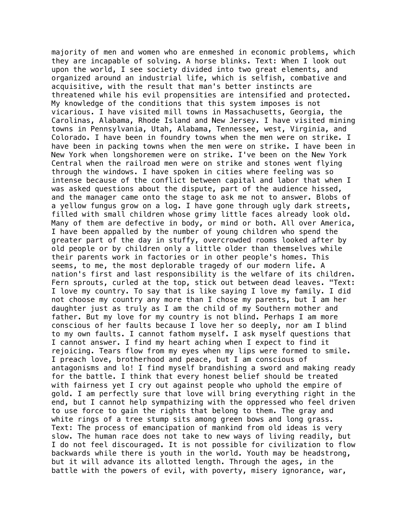majority of men and women who are enmeshed in economic problems, which they are incapable of solving. A horse blinks. Text: When I look out upon the world, I see society divided into two great elements, and organized around an industrial life, which is selfish, combative and acquisitive, with the result that man's better instincts are threatened while his evil propensities are intensified and protected. My knowledge of the conditions that this system imposes is not vicarious. I have visited mill towns in Massachusetts, Georgia, the Carolinas, Alabama, Rhode Island and New Jersey. I have visited mining towns in Pennsylvania, Utah, Alabama, Tennessee, west, Virginia, and Colorado. I have been in foundry towns when the men were on strike. I have been in packing towns when the men were on strike. I have been in New York when longshoremen were on strike. I've been on the New York Central when the railroad men were on strike and stones went flying through the windows. I have spoken in cities where feeling was so intense because of the conflict between capital and labor that when I was asked questions about the dispute, part of the audience hissed, and the manager came onto the stage to ask me not to answer. Blobs of a yellow fungus grow on a log. I have gone through ugly dark streets, filled with small children whose grimy little faces already look old. Many of them are defective in body, or mind or both. All over America, I have been appalled by the number of young children who spend the greater part of the day in stuffy, overcrowded rooms looked after by old people or by children only a little older than themselves while their parents work in factories or in other people's homes. This seems, to me, the most deplorable tragedy of our modern life. A nation's first and last responsibility is the welfare of its children. Fern sprouts, curled at the top, stick out between dead leaves. "Text: I love my country. To say that is like saying I love my family. I did not choose my country any more than I chose my parents, but I am her daughter just as truly as I am the child of my Southern mother and father. But my love for my country is not blind. Perhaps I am more conscious of her faults because I love her so deeply, nor am I blind to my own faults. I cannot fathom myself. I ask myself questions that I cannot answer. I find my heart aching when I expect to find it rejoicing. Tears flow from my eyes when my lips were formed to smile. I preach love, brotherhood and peace, but I am conscious of antagonisms and lo! I find myself brandishing a sword and making ready for the battle. I think that every honest belief should be treated with fairness yet I cry out against people who uphold the empire of gold. I am perfectly sure that love will bring everything right in the end, but I cannot help sympathizing with the oppressed who feel driven to use force to gain the rights that belong to them. The gray and white rings of a tree stump sits among green bows and long grass. Text: The process of emancipation of mankind from old ideas is very slow. The human race does not take to new ways of living readily, but I do not feel discouraged. It is not possible for civilization to flow backwards while there is youth in the world. Youth may be headstrong, but it will advance its allotted length. Through the ages, in the battle with the powers of evil, with poverty, misery ignorance, war,